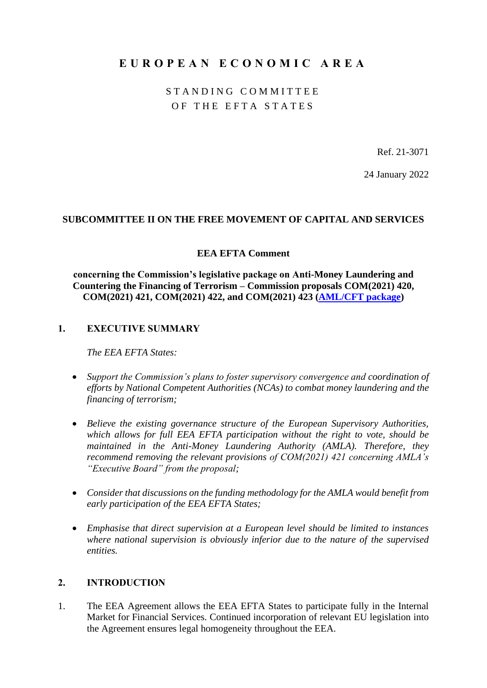# **E U R O P E A N E C O N O M I C A R E A**

STANDING COMMITTEE OF THE EFTA STATES

Ref. 21-3071

24 January 2022

#### **SUBCOMMITTEE II ON THE FREE MOVEMENT OF CAPITAL AND SERVICES**

#### **EEA EFTA Comment**

**concerning the Commission's legislative package on Anti-Money Laundering and Countering the Financing of Terrorism – Commission proposals COM(2021) 420, COM(2021) 421, COM(2021) 422, and COM(2021) 423 [\(AML/CFT package\)](https://ec.europa.eu/info/publications/210720-anti-money-laundering-countering-financing-terrorism_en)**

### **1. EXECUTIVE SUMMARY**

*The EEA EFTA States:*

- *Support the Commission's plans to foster supervisory convergence and coordination of efforts by National Competent Authorities (NCAs) to combat money laundering and the financing of terrorism;*
- *Believe the existing governance structure of the European Supervisory Authorities, which allows for full EEA EFTA participation without the right to vote, should be maintained in the Anti-Money Laundering Authority (AMLA). Therefore, they recommend removing the relevant provisions of COM(2021) 421 concerning AMLA's "Executive Board" from the proposal;*
- *Consider that discussions on the funding methodology for the AMLA would benefit from early participation of the EEA EFTA States;*
- *Emphasise that direct supervision at a European level should be limited to instances where national supervision is obviously inferior due to the nature of the supervised entities.*

### **2. INTRODUCTION**

1. The EEA Agreement allows the EEA EFTA States to participate fully in the Internal Market for Financial Services. Continued incorporation of relevant EU legislation into the Agreement ensures legal homogeneity throughout the EEA.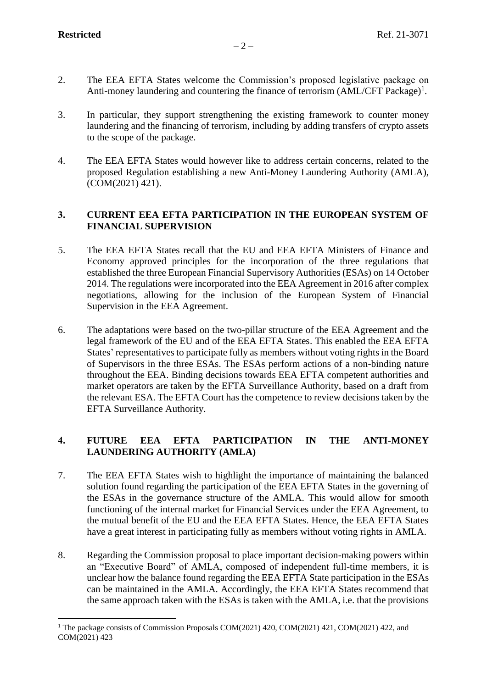- 2. The EEA EFTA States welcome the Commission's proposed legislative package on Anti-money laundering and countering the finance of terrorism  $(AML/CFT$  Package)<sup>1</sup>.
- 3. In particular, they support strengthening the existing framework to counter money laundering and the financing of terrorism, including by adding transfers of crypto assets to the scope of the package.
- 4. The EEA EFTA States would however like to address certain concerns, related to the proposed Regulation establishing a new Anti-Money Laundering Authority (AMLA), (COM(2021) 421).

## **3. CURRENT EEA EFTA PARTICIPATION IN THE EUROPEAN SYSTEM OF FINANCIAL SUPERVISION**

- 5. The EEA EFTA States recall that the EU and EEA EFTA Ministers of Finance and Economy approved principles for the incorporation of the three regulations that established the three European Financial Supervisory Authorities (ESAs) on 14 October 2014. The regulations were incorporated into the EEA Agreement in 2016 after complex negotiations, allowing for the inclusion of the European System of Financial Supervision in the EEA Agreement.
- 6. The adaptations were based on the two-pillar structure of the EEA Agreement and the legal framework of the EU and of the EEA EFTA States. This enabled the EEA EFTA States' representatives to participate fully as members without voting rights in the Board of Supervisors in the three ESAs. The ESAs perform actions of a non-binding nature throughout the EEA. Binding decisions towards EEA EFTA competent authorities and market operators are taken by the EFTA Surveillance Authority, based on a draft from the relevant ESA. The EFTA Court has the competence to review decisions taken by the EFTA Surveillance Authority.

## **4. FUTURE EEA EFTA PARTICIPATION IN THE ANTI-MONEY LAUNDERING AUTHORITY (AMLA)**

- 7. The EEA EFTA States wish to highlight the importance of maintaining the balanced solution found regarding the participation of the EEA EFTA States in the governing of the ESAs in the governance structure of the AMLA. This would allow for smooth functioning of the internal market for Financial Services under the EEA Agreement, to the mutual benefit of the EU and the EEA EFTA States. Hence, the EEA EFTA States have a great interest in participating fully as members without voting rights in AMLA.
- 8. Regarding the Commission proposal to place important decision-making powers within an "Executive Board" of AMLA, composed of independent full-time members, it is unclear how the balance found regarding the EEA EFTA State participation in the ESAs can be maintained in the AMLA. Accordingly, the EEA EFTA States recommend that the same approach taken with the ESAs is taken with the AMLA, i.e. that the provisions

<sup>&</sup>lt;sup>1</sup> The package consists of Commission Proposals COM(2021) 420, COM(2021) 421, COM(2021) 422, and COM(2021) 423